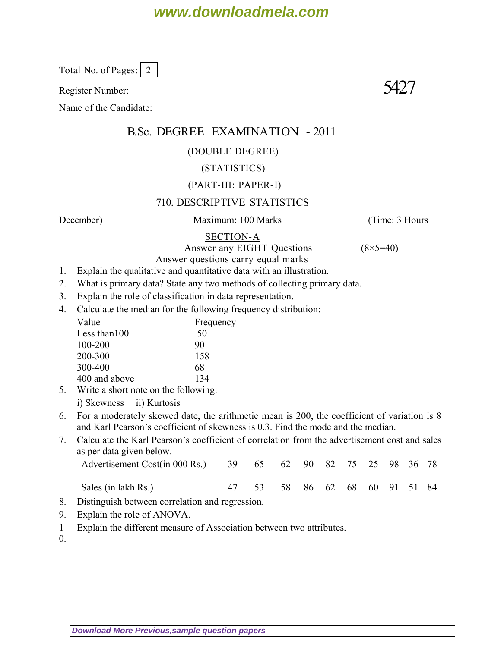# **www.downloadmela.com**

Total No. of Pages:  $\vert 2 \vert$ 

Register Number:  $5427$ 

Name of the Candidate:

# B.Sc. DEGREE EXAMINATION - 2011

#### (DOUBLE DEGREE)

### (STATISTICS)

#### (PART-III: PAPER-I)

### 710. DESCRIPTIVE STATISTICS

*December*) Maximum: 100 Marks (*Time: 3 Hours*

#### SECTION-A

Answer any EIGHT Questions (8×5=40)

- Answer questions carry equal marks 1. Explain the qualitative and quantitative data with an illustration.
- 2. What is primary data? State any two methods of collecting primary data.
- 3. Explain the role of classification in data representation.
- 4. Calculate the median for the following frequency distribution:

| Value           | Frequency |  |  |  |  |  |
|-----------------|-----------|--|--|--|--|--|
| Less than $100$ | 50        |  |  |  |  |  |
| 100-200         | 90        |  |  |  |  |  |
| 200-300         | 158       |  |  |  |  |  |
| 300-400         | 68        |  |  |  |  |  |
| 400 and above   | 134       |  |  |  |  |  |

- 5. Write a short note on the following:
	- i) Skewness ii) Kurtosis
- 6. For a moderately skewed date, the arithmetic mean is 200, the coefficient of variation is 8 and Karl Pearson's coefficient of skewness is 0.3. Find the mode and the median.
- 7. Calculate the Karl Pearson's coefficient of correlation from the advertisement cost and sales as per data given below.

| Advertisement Cost(in 000 Rs.) 39 65 62 90 82 75 25 98 36 78 |                               |  |  |  |  |
|--------------------------------------------------------------|-------------------------------|--|--|--|--|
| Sales (in lakh Rs.)                                          | 47 53 58 86 62 68 60 91 51 84 |  |  |  |  |

- 8. Distinguish between correlation and regression.
- 9. Explain the role of ANOVA.
- 1 Explain the different measure of Association between two attributes.

 $\overline{0}$ .